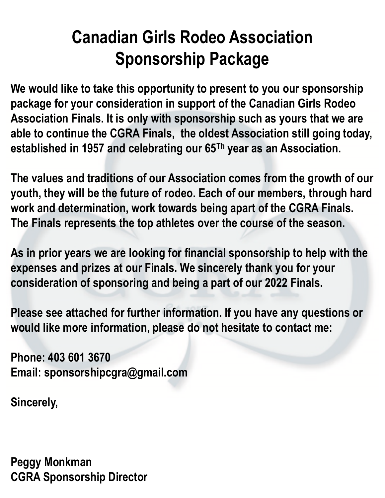# **Canadian Girls Rodeo Association Sponsorship Package**

**We would like to take this opportunity to present to you our sponsorship package for your consideration in support of the Canadian Girls Rodeo Association Finals. It is only with sponsorship such as yours that we are able to continue the CGRA Finals, the oldest Association still going today, established in 1957 and celebrating our 65Th year as an Association.** 

**The values and traditions of our Association comes from the growth of our youth, they will be the future of rodeo. Each of our members, through hard work and determination, work towards being apart of the CGRA Finals. The Finals represents the top athletes over the course of the season.**

**As in prior years we are looking for financial sponsorship to help with the expenses and prizes at our Finals. We sincerely thank you for your consideration of sponsoring and being a part of our 2022 Finals.** 

**Please see attached for further information. If you have any questions or would like more information, please do not hesitate to contact me:**

**Phone: 403 601 3670 Email: sponsorshipcgra@gmail.com**

**Sincerely,**

**Peggy Monkman CGRA Sponsorship Director**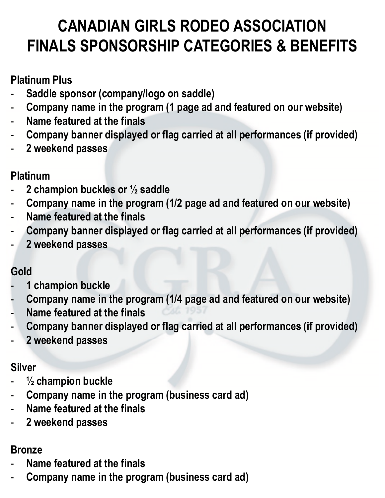# **CANADIAN GIRLS RODEO ASSOCIATION FINALS SPONSORSHIP CATEGORIES & BENEFITS**

### **Platinum Plus**

- **Saddle sponsor (company/logo on saddle)**
- **Company name in the program (1 page ad and featured on our website)**
- **Name featured at the finals**
- **Company banner displayed or flag carried at all performances (if provided)**
- **2 weekend passes**

#### **Platinum**

- **2 champion buckles or ½ saddle**
- **Company name in the program (1/2 page ad and featured on our website)**
- **Name featured at the finals**
- **Company banner displayed or flag carried at all performances (if provided)**
- **2 weekend passes**

### **Gold**

- **1 champion buckle**
- **Company name in the program (1/4 page ad and featured on our website)**
- **Name featured at the finals**
- **Company banner displayed or flag carried at all performances (if provided)**
- **2 weekend passes**

### **Silver**

- <sup>1</sup>/<sub>2</sub> champion buckle
- **Company name in the program (business card ad)**
- **Name featured at the finals**
- **2 weekend passes**

#### **Bronze**

- **Name featured at the finals**
- **Company name in the program (business card ad)**